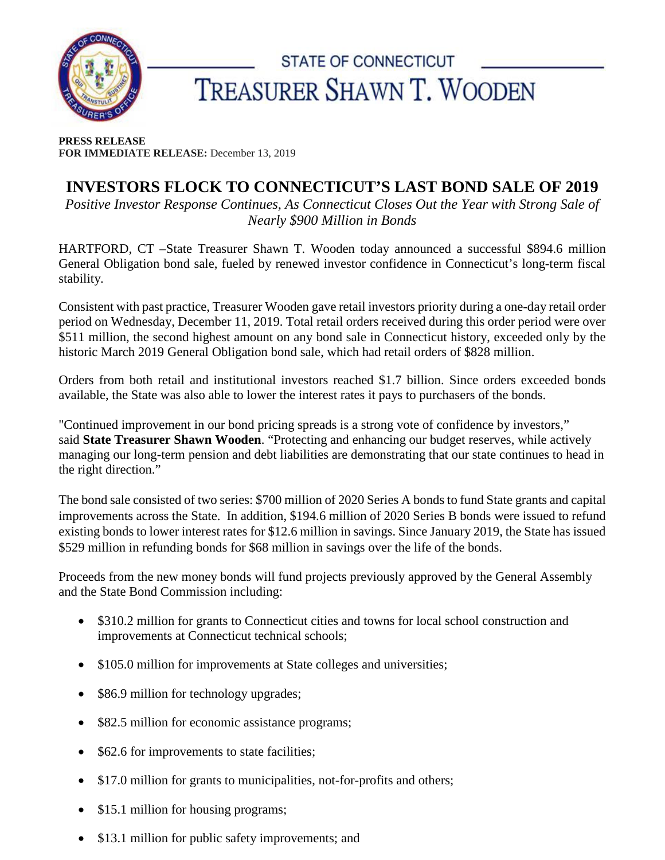

## STATE OF CONNECTICUT TREASURER SHAWN T. WOODEN

**PRESS RELEASE FOR IMMEDIATE RELEASE:** December 13, 2019

## **INVESTORS FLOCK TO CONNECTICUT'S LAST BOND SALE OF 2019**

*Positive Investor Response Continues, As Connecticut Closes Out the Year with Strong Sale of Nearly \$900 Million in Bonds*

HARTFORD, CT –State Treasurer Shawn T. Wooden today announced a successful \$894.6 million General Obligation bond sale, fueled by renewed investor confidence in Connecticut's long-term fiscal stability.

Consistent with past practice, Treasurer Wooden gave retail investors priority during a one-day retail order period on Wednesday, December 11, 2019. Total retail orders received during this order period were over \$511 million, the second highest amount on any bond sale in Connecticut history, exceeded only by the historic March 2019 General Obligation bond sale, which had retail orders of \$828 million.

Orders from both retail and institutional investors reached \$1.7 billion. Since orders exceeded bonds available, the State was also able to lower the interest rates it pays to purchasers of the bonds.

"Continued improvement in our bond pricing spreads is a strong vote of confidence by investors," said **State Treasurer Shawn Wooden**. "Protecting and enhancing our budget reserves, while actively managing our long-term pension and debt liabilities are demonstrating that our state continues to head in the right direction."

The bond sale consisted of two series: \$700 million of 2020 Series A bonds to fund State grants and capital improvements across the State. In addition, \$194.6 million of 2020 Series B bonds were issued to refund existing bonds to lower interest rates for \$12.6 million in savings. Since January 2019, the State has issued \$529 million in refunding bonds for \$68 million in savings over the life of the bonds.

Proceeds from the new money bonds will fund projects previously approved by the General Assembly and the State Bond Commission including:

- \$310.2 million for grants to Connecticut cities and towns for local school construction and improvements at Connecticut technical schools;
- \$105.0 million for improvements at State colleges and universities;
- \$86.9 million for technology upgrades;
- \$82.5 million for economic assistance programs;
- \$62.6 for improvements to state facilities;
- \$17.0 million for grants to municipalities, not-for-profits and others;
- \$15.1 million for housing programs;
- \$13.1 million for public safety improvements; and